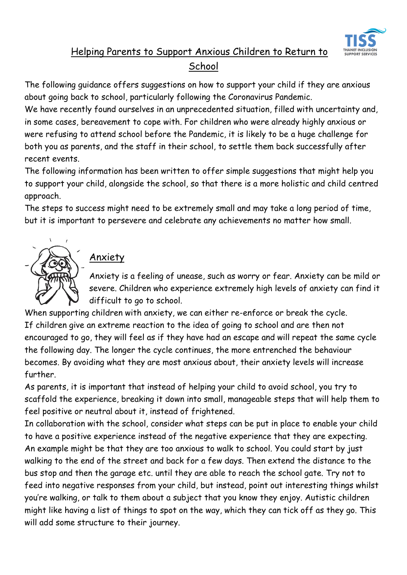

# Helping Parents to Support Anxious Children to Return to **School**

The following guidance offers suggestions on how to support your child if they are anxious about going back to school, particularly following the Coronavirus Pandemic.

We have recently found ourselves in an unprecedented situation, filled with uncertainty and, in some cases, bereavement to cope with. For children who were already highly anxious or were refusing to attend school before the Pandemic, it is likely to be a huge challenge for both you as parents, and the staff in their school, to settle them back successfully after recent events.

The following information has been written to offer simple suggestions that might help you to support your child, alongside the school, so that there is a more holistic and child centred approach.

The steps to success might need to be extremely small and may take a long period of time, but it is important to persevere and celebrate any achievements no matter how small.



## Anxiety

Anxiety is a feeling of unease, such as worry or fear. Anxiety can be mild or severe. Children who experience extremely high levels of anxiety can find it difficult to go to school.

When supporting children with anxiety, we can either re-enforce or break the cycle. If children give an extreme reaction to the idea of going to school and are then not encouraged to go, they will feel as if they have had an escape and will repeat the same cycle the following day. The longer the cycle continues, the more entrenched the behaviour becomes. By avoiding what they are most anxious about, their anxiety levels will increase further.

As parents, it is important that instead of helping your child to avoid school, you try to scaffold the experience, breaking it down into small, manageable steps that will help them to feel positive or neutral about it, instead of frightened.

In collaboration with the school, consider what steps can be put in place to enable your child to have a positive experience instead of the negative experience that they are expecting. An example might be that they are too anxious to walk to school. You could start by just walking to the end of the street and back for a few days. Then extend the distance to the bus stop and then the garage etc. until they are able to reach the school gate. Try not to feed into negative responses from your child, but instead, point out interesting things whilst you're walking, or talk to them about a subject that you know they enjoy. Autistic children might like having a list of things to spot on the way, which they can tick off as they go. This will add some structure to their journey.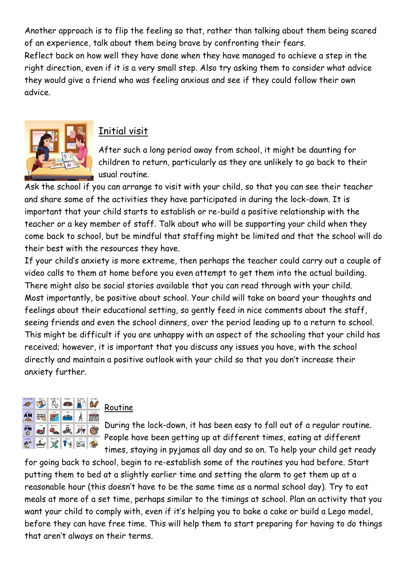Another approach is to flip the feeling so that, rather than talking about them being scared of an experience, talk about them being brave by confronting their fears.

Reflect back on how well they have done when they have managed to achieve a step in the right direction, even if it is a very small step. Also try asking them to consider what advice they would give a friend who was feeling anxious and see if they could follow their own advice.



#### Initial visit

After such a long period away from school, it might be daunting for children to return, particularly as they are unlikely to go back to their usual routine.

Ask the school if you can arrange to visit with your child, so that you can see their teacher and share some of the activities they have participated in during the lock-down. It is important that your child starts to establish or re-build a positive relationship with the teacher or a key member of staff. Talk about who will be supporting your child when they come back to school, but be mindful that staffing might be limited and that the school will do their best with the resources they have.

If your child's anxiety is more extreme, then perhaps the teacher could carry out a couple of video calls to them at home before you even attempt to get them into the actual building. There might also be social stories available that you can read through with your child. Most importantly, be positive about school. Your child will take on board your thoughts and feelings about their educational setting, so gently feed in nice comments about the staff, seeing friends and even the school dinners, over the period leading up to a return to school. This might be difficult if you are unhappy with an aspect of the schooling that your child has received; however, it is important that you discuss any issues you have, with the school directly and maintain a positive outlook with your child so that you don't increase their anxiety further.



#### Routine

During the lock-down, it has been easy to fall out of a regular routine. People have been getting up at different times, eating at different times, staying in pyjamas all day and so on. To help your child get ready

for going back to school, begin to re-establish some of the routines you had before. Start putting them to bed at a slightly earlier time and setting the alarm to get them up at a reasonable hour (this doesn't have to be the same time as a normal school day). Try to eat meals at more of a set time, perhaps similar to the timings at school. Plan an activity that you want your child to comply with, even if it's helping you to bake a cake or build a Lego model, before they can have free time. This will help them to start preparing for having to do things that aren't always on their terms.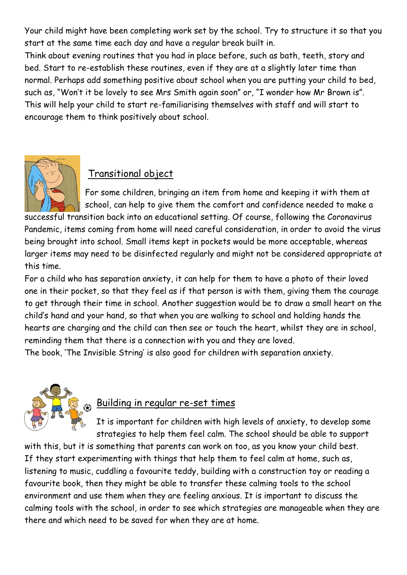Your child might have been completing work set by the school. Try to structure it so that you start at the same time each day and have a regular break built in.

Think about evening routines that you had in place before, such as bath, teeth, story and bed. Start to re-establish these routines, even if they are at a slightly later time than normal. Perhaps add something positive about school when you are putting your child to bed, such as, "Won't it be lovely to see Mrs Smith again soon" or, "I wonder how Mr Brown is". This will help your child to start re-familiarising themselves with staff and will start to encourage them to think positively about school.



### Transitional object

For some children, bringing an item from home and keeping it with them at school, can help to give them the comfort and confidence needed to make a

successful transition back into an educational setting. Of course, following the Coronavirus Pandemic, items coming from home will need careful consideration, in order to avoid the virus being brought into school. Small items kept in pockets would be more acceptable, whereas larger items may need to be disinfected regularly and might not be considered appropriate at this time.

For a child who has separation anxiety, it can help for them to have a photo of their loved one in their pocket, so that they feel as if that person is with them, giving them the courage to get through their time in school. Another suggestion would be to draw a small heart on the child's hand and your hand, so that when you are walking to school and holding hands the hearts are charging and the child can then see or touch the heart, whilst they are in school, reminding them that there is a connection with you and they are loved.

The book, 'The Invisible String' is also good for children with separation anxiety.



### Building in regular re-set times

It is important for children with high levels of anxiety, to develop some strategies to help them feel calm. The school should be able to support

with this, but it is something that parents can work on too, as you know your child best. If they start experimenting with things that help them to feel calm at home, such as, listening to music, cuddling a favourite teddy, building with a construction toy or reading a favourite book, then they might be able to transfer these calming tools to the school environment and use them when they are feeling anxious. It is important to discuss the calming tools with the school, in order to see which strategies are manageable when they are there and which need to be saved for when they are at home.